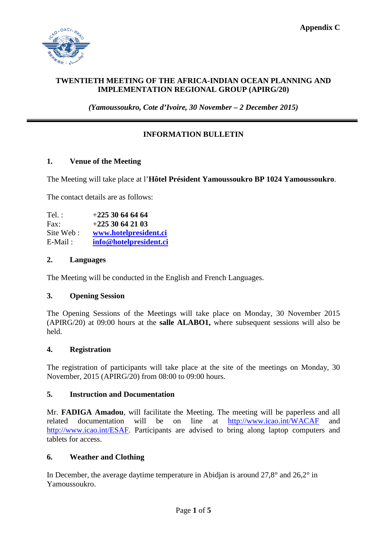

## **TWENTIETH MEETING OF THE AFRICA-INDIAN OCEAN PLANNING AND IMPLEMENTATION REGIONAL GROUP (APIRG/20)**

*(Yamoussoukro, Cote d'Ivoire, 30 November – 2 December 2015)*

# **INFORMATION BULLETIN**

#### **1. Venue of the Meeting**

The Meeting will take place at l'**Hôtel Président Yamoussoukro BP 1024 Yamoussoukro**.

The contact details are as follows:

Tel. : +**225 30 64 64 64** Fax: +**225 30 64 21 03** Site Web : **[www.hotelpresident.ci](http://www.hotelpresident.ci/)** E-Mail : **[info@hotelpresident.ci](mailto:info@hotelpresident.ci)**

## **2. Languages**

The Meeting will be conducted in the English and French Languages.

## **3. Opening Session**

The Opening Sessions of the Meetings will take place on Monday, 30 November 2015 (APIRG/20) at 09:00 hours at the **salle ALABO1,** where subsequent sessions will also be held.

#### **4. Registration**

The registration of participants will take place at the site of the meetings on Monday, 30 November, 2015 (APIRG/20) from 08:00 to 09:00 hours.

#### **5. Instruction and Documentation**

Mr. **FADIGA Amadou**, will facilitate the Meeting. The meeting will be paperless and all related documentation will be on line at [http://www.icao.int/WACAF](http://www.icao.int/WACAF/Pages/meetings.aspx) and [http://www.icao.int/ESAF.](http://www.icao.int/ESAF) Participants are advised to bring along laptop computers and tablets for access.

#### **6. Weather and Clothing**

In December, the average daytime temperature in Abidjan is around 27,8° and 26,2° in Yamoussoukro.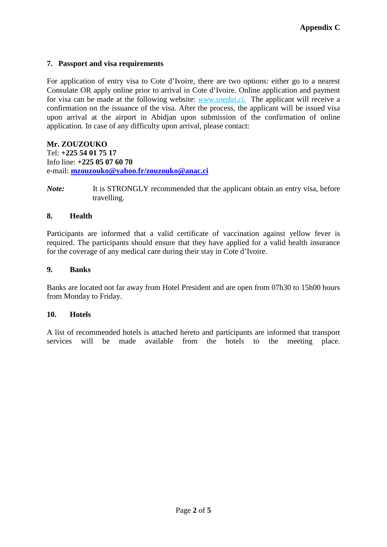# **7. Passport and visa requirements**

For application of entry visa to Cote d'Ivoire, there are two options: either go to a nearest Consulate OR apply online prior to arrival in Cote d'Ivoire. Online application and payment for visa can be made at the following website: *www.snedai.ci.* The applicant will receive a confirmation on the issuance of the visa. After the process, the applicant will be issued visa upon arrival at the airport in Abidjan upon submission of the confirmation of online application. In case of any difficulty upon arrival, please contact:

# **Mr. ZOUZOUKO**

Tel: **+225 54 01 75 17** Info line: **+225 05 07 60 70** e-mail: **[mzouzouko@yahoo.fr/zouzouko@anac.ci](mailto:mzouzouko@yahoo.fr/zouzouko@anac.ci)**

*Note:* It is STRONGLY recommended that the applicant obtain an entry visa, before travelling.

## **8. Health**

Participants are informed that a valid certificate of vaccination against yellow fever is required. The participants should ensure that they have applied for a valid health insurance for the coverage of any medical care during their stay in Cote d'Ivoire.

## **9. Banks**

Banks are located not far away from Hotel President and are open from 07h30 to 15h00 hours from Monday to Friday.

#### **10. Hotels**

A list of recommended hotels is attached hereto and participants are informed that transport services will be made available from the hotels to the meeting place.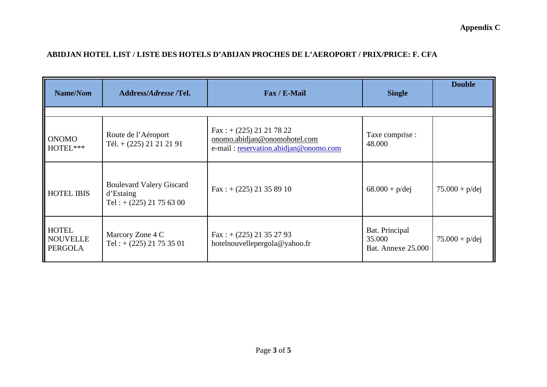**Appendix C**

# **ABIDJAN HOTEL LIST / LISTE DES HOTELS D'ABIJAN PROCHES DE L'AEROPORT / PRIX/PRICE: F. CFA**

| Name/Nom                                   | Address/Adresse /Tel.                                                     | Fax / E-Mail                                                                                                | <b>Single</b>                                         | <b>Double</b>    |
|--------------------------------------------|---------------------------------------------------------------------------|-------------------------------------------------------------------------------------------------------------|-------------------------------------------------------|------------------|
| <b>ONOMO</b><br>HOTEL***                   | Route de l'Aéroport<br>Tél. $+ (225)$ 21 21 21 91                         | $\text{Fax}$ : + (225) 21 21 78 22<br>onomo.abidjan@onomohotel.com<br>e-mail: reservation.abidjan@onomo.com | Taxe comprise :<br>48.000                             |                  |
| <b>HOTEL IBIS</b>                          | <b>Boulevard Valery Giscard</b><br>d'Estaing<br>Tel: $+(225)$ 21 75 63 00 | $\text{Fax}$ : + (225) 21 35 89 10                                                                          | $68.000 + p/dej$                                      | $75.000 + p/dei$ |
| <b>HOTEL</b><br>NOUVELLE<br><b>PERGOLA</b> | Marcory Zone 4 C<br>Tel: $+(225)$ 21 75 35 01                             | $Fax: + (225) 21 35 27 93$<br>hotelnouvellepergola@yahoo.fr                                                 | Bat. Principal<br>35.000<br><b>Bat. Annexe 25.000</b> | $75.000 + p/dej$ |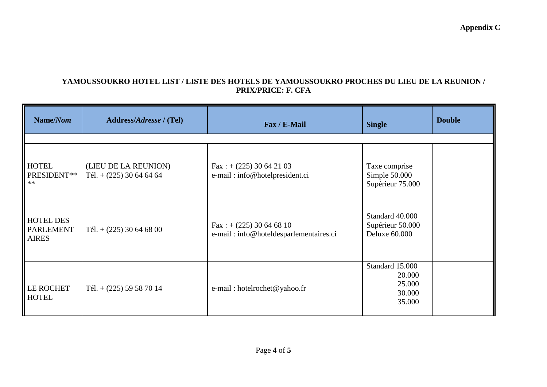# **YAMOUSSOUKRO HOTEL LIST / LISTE DES HOTELS DE YAMOUSSOUKRO PROCHES DU LIEU DE LA REUNION / PRIX/PRICE: F. CFA**

| Name/Nom                                             | Address/Adresse / (Tel)                           | Fax / E-Mail                                                                 | <b>Single</b>                                           | <b>Double</b> |
|------------------------------------------------------|---------------------------------------------------|------------------------------------------------------------------------------|---------------------------------------------------------|---------------|
| <b>HOTEL</b><br>PRESIDENT**<br>$**$                  | (LIEU DE LA REUNION)<br>Tél. $+(225)$ 30 64 64 64 | Fax: $+(225)$ 30 64 21 03<br>e-mail: info@hotelpresident.ci                  | Taxe comprise<br>Simple 50.000<br>Supérieur 75.000      |               |
| <b>HOTEL DES</b><br><b>PARLEMENT</b><br><b>AIRES</b> | Tél. $+(225)$ 30 64 68 00                         | $\text{Fax}$ : + (225) 30 64 68 10<br>e-mail: info@hoteldesparlementaires.ci | Standard 40.000<br>Supérieur 50.000<br>Deluxe 60.000    |               |
| LE ROCHET<br><b>HOTEL</b>                            | Tél. $+$ (225) 59 58 70 14                        | e-mail: hotelrochet@yahoo.fr                                                 | Standard 15.000<br>20.000<br>25.000<br>30.000<br>35.000 |               |

**Appendix C**